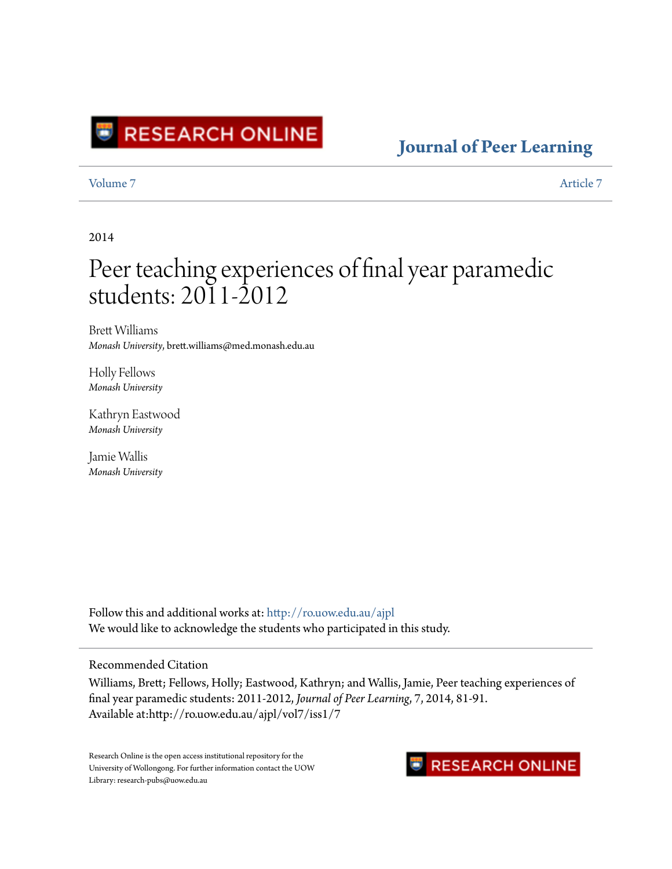

### **[Journal of Peer Learning](http://ro.uow.edu.au/ajpl?utm_source=ro.uow.edu.au%2Fajpl%2Fvol7%2Fiss1%2F7&utm_medium=PDF&utm_campaign=PDFCoverPages)**

[Volume 7](http://ro.uow.edu.au/ajpl/vol7?utm_source=ro.uow.edu.au%2Fajpl%2Fvol7%2Fiss1%2F7&utm_medium=PDF&utm_campaign=PDFCoverPages) [Article 7](http://ro.uow.edu.au/ajpl/vol7/iss1/7?utm_source=ro.uow.edu.au%2Fajpl%2Fvol7%2Fiss1%2F7&utm_medium=PDF&utm_campaign=PDFCoverPages)

2014

# Peer teaching experiences of final year paramedic students: 2011-2012

Brett Williams *Monash University*, brett.williams@med.monash.edu.au

Holly Fellows *Monash University*

Kathryn Eastwood *Monash University*

Jamie Wallis *Monash University*

Follow this and additional works at: [http://ro.uow.edu.au/ajpl](http://ro.uow.edu.au/ajpl?utm_source=ro.uow.edu.au%2Fajpl%2Fvol7%2Fiss1%2F7&utm_medium=PDF&utm_campaign=PDFCoverPages) We would like to acknowledge the students who participated in this study.

### Recommended Citation

Williams, Brett; Fellows, Holly; Eastwood, Kathryn; and Wallis, Jamie, Peer teaching experiences of final year paramedic students: 2011-2012, *Journal of Peer Learning*, 7, 2014, 81-91. Available at:http://ro.uow.edu.au/ajpl/vol7/iss1/7

Research Online is the open access institutional repository for the University of Wollongong. For further information contact the UOW Library: research-pubs@uow.edu.au

### **RESEARCH ONLINE**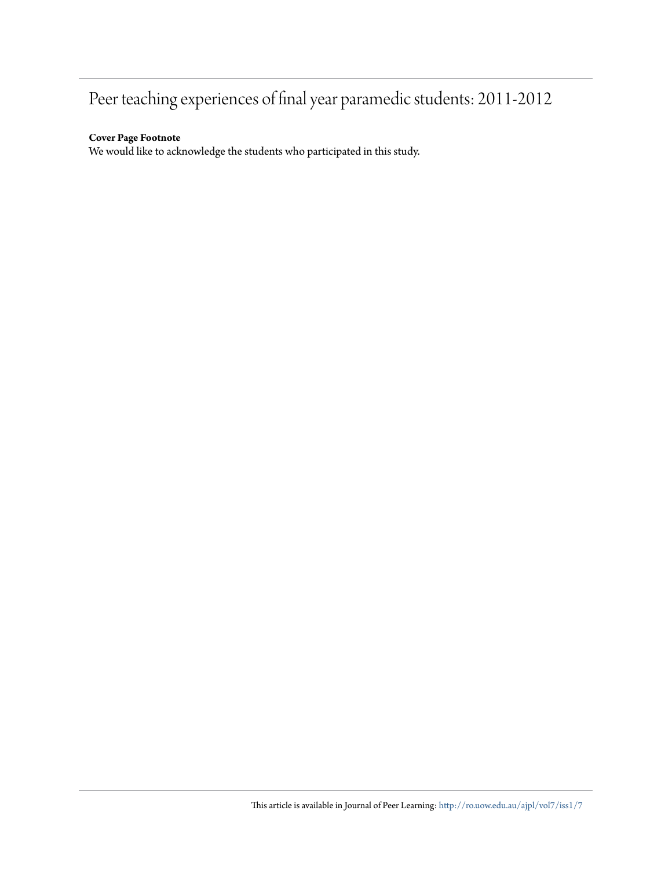## Peer teaching experiences of final year paramedic students: 2011-2012

#### **Cover Page Footnote**

We would like to acknowledge the students who participated in this study.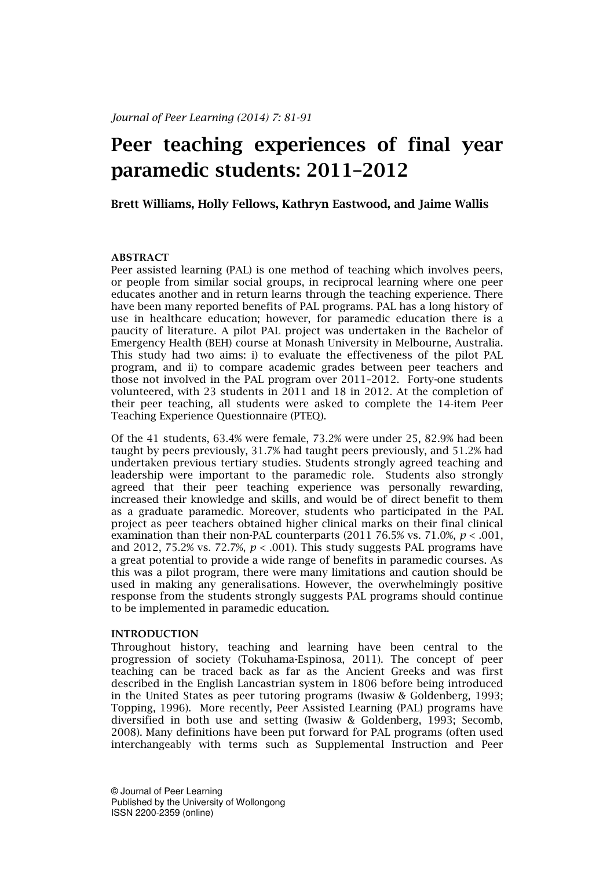## Peer teaching experiences of final year paramedic students: 2011–2012

Brett Williams, Holly Fellows, Kathryn Eastwood, and Jaime Wallis

#### ABSTRACT

Peer assisted learning (PAL) is one method of teaching which involves peers, or people from similar social groups, in reciprocal learning where one peer educates another and in return learns through the teaching experience. There have been many reported benefits of PAL programs. PAL has a long history of use in healthcare education; however, for paramedic education there is a paucity of literature. A pilot PAL project was undertaken in the Bachelor of Emergency Health (BEH) course at Monash University in Melbourne, Australia. This study had two aims: i) to evaluate the effectiveness of the pilot PAL program, and ii) to compare academic grades between peer teachers and those not involved in the PAL program over 2011–2012. Forty-one students volunteered, with 23 students in 2011 and 18 in 2012. At the completion of their peer teaching, all students were asked to complete the 14-item Peer Teaching Experience Questionnaire (PTEQ).

Of the 41 students, 63.4% were female, 73.2% were under 25, 82.9% had been taught by peers previously, 31.7% had taught peers previously, and 51.2% had undertaken previous tertiary studies. Students strongly agreed teaching and leadership were important to the paramedic role. Students also strongly agreed that their peer teaching experience was personally rewarding, increased their knowledge and skills, and would be of direct benefit to them as a graduate paramedic. Moreover, students who participated in the PAL project as peer teachers obtained higher clinical marks on their final clinical examination than their non-PAL counterparts (2011 76.5% vs. 71.0%,  $p < .001$ , and 2012, 75.2% vs. 72.7%,  $p < .001$ ). This study suggests PAL programs have a great potential to provide a wide range of benefits in paramedic courses. As this was a pilot program, there were many limitations and caution should be used in making any generalisations. However, the overwhelmingly positive response from the students strongly suggests PAL programs should continue to be implemented in paramedic education.

#### INTRODUCTION

Throughout history, teaching and learning have been central to the progression of society (Tokuhama-Espinosa, 2011). The concept of peer teaching can be traced back as far as the Ancient Greeks and was first described in the English Lancastrian system in 1806 before being introduced in the United States as peer tutoring programs (Iwasiw & Goldenberg, 1993; Topping, 1996). More recently, Peer Assisted Learning (PAL) programs have diversified in both use and setting (Iwasiw & Goldenberg, 1993; Secomb, 2008). Many definitions have been put forward for PAL programs (often used interchangeably with terms such as Supplemental Instruction and Peer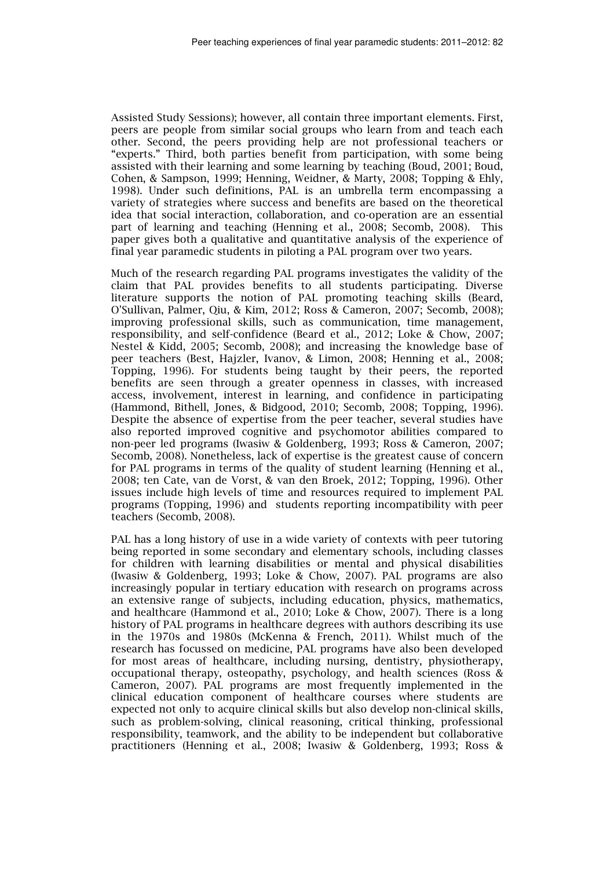Assisted Study Sessions); however, all contain three important elements. First, peers are people from similar social groups who learn from and teach each other. Second, the peers providing help are not professional teachers or "experts." Third, both parties benefit from participation, with some being assisted with their learning and some learning by teaching (Boud, 2001; Boud, Cohen, & Sampson, 1999; Henning, Weidner, & Marty, 2008; Topping & Ehly, 1998). Under such definitions, PAL is an umbrella term encompassing a variety of strategies where success and benefits are based on the theoretical idea that social interaction, collaboration, and co-operation are an essential part of learning and teaching (Henning et al., 2008; Secomb, 2008). This paper gives both a qualitative and quantitative analysis of the experience of final year paramedic students in piloting a PAL program over two years.

Much of the research regarding PAL programs investigates the validity of the claim that PAL provides benefits to all students participating. Diverse literature supports the notion of PAL promoting teaching skills (Beard, O'Sullivan, Palmer, Qiu, & Kim, 2012; Ross & Cameron, 2007; Secomb, 2008); improving professional skills, such as communication, time management, responsibility, and self-confidence (Beard et al., 2012; Loke & Chow, 2007; Nestel & Kidd, 2005; Secomb, 2008); and increasing the knowledge base of peer teachers (Best, Hajzler, Ivanov, & Limon, 2008; Henning et al., 2008; Topping, 1996). For students being taught by their peers, the reported benefits are seen through a greater openness in classes, with increased access, involvement, interest in learning, and confidence in participating (Hammond, Bithell, Jones, & Bidgood, 2010; Secomb, 2008; Topping, 1996). Despite the absence of expertise from the peer teacher, several studies have also reported improved cognitive and psychomotor abilities compared to non-peer led programs (Iwasiw & Goldenberg, 1993; Ross & Cameron, 2007; Secomb, 2008). Nonetheless, lack of expertise is the greatest cause of concern for PAL programs in terms of the quality of student learning (Henning et al., 2008; ten Cate, van de Vorst, & van den Broek, 2012; Topping, 1996). Other issues include high levels of time and resources required to implement PAL programs (Topping, 1996) and students reporting incompatibility with peer teachers (Secomb, 2008).

PAL has a long history of use in a wide variety of contexts with peer tutoring being reported in some secondary and elementary schools, including classes for children with learning disabilities or mental and physical disabilities (Iwasiw & Goldenberg, 1993; Loke & Chow, 2007). PAL programs are also increasingly popular in tertiary education with research on programs across an extensive range of subjects, including education, physics, mathematics, and healthcare (Hammond et al., 2010; Loke & Chow, 2007). There is a long history of PAL programs in healthcare degrees with authors describing its use in the 1970s and 1980s (McKenna & French, 2011). Whilst much of the research has focussed on medicine, PAL programs have also been developed for most areas of healthcare, including nursing, dentistry, physiotherapy, occupational therapy, osteopathy, psychology, and health sciences (Ross & Cameron, 2007). PAL programs are most frequently implemented in the clinical education component of healthcare courses where students are expected not only to acquire clinical skills but also develop non-clinical skills, such as problem-solving, clinical reasoning, critical thinking, professional responsibility, teamwork, and the ability to be independent but collaborative practitioners (Henning et al., 2008; Iwasiw & Goldenberg, 1993; Ross &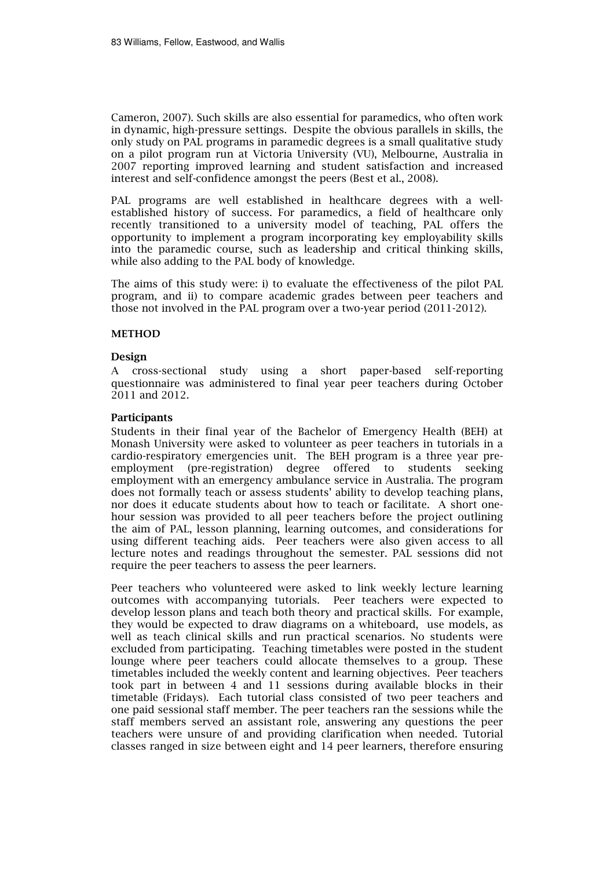Cameron, 2007). Such skills are also essential for paramedics, who often work in dynamic, high-pressure settings. Despite the obvious parallels in skills, the only study on PAL programs in paramedic degrees is a small qualitative study on a pilot program run at Victoria University (VU), Melbourne, Australia in 2007 reporting improved learning and student satisfaction and increased interest and self-confidence amongst the peers (Best et al., 2008).

PAL programs are well established in healthcare degrees with a wellestablished history of success. For paramedics, a field of healthcare only recently transitioned to a university model of teaching, PAL offers the opportunity to implement a program incorporating key employability skills into the paramedic course, such as leadership and critical thinking skills, while also adding to the PAL body of knowledge.

The aims of this study were: i) to evaluate the effectiveness of the pilot PAL program, and ii) to compare academic grades between peer teachers and those not involved in the PAL program over a two-year period (2011-2012).

#### **METHOD**

#### Design

A cross-sectional study using a short paper-based self-reporting questionnaire was administered to final year peer teachers during October 2011 and 2012.

#### Participants

Students in their final year of the Bachelor of Emergency Health (BEH) at Monash University were asked to volunteer as peer teachers in tutorials in a cardio-respiratory emergencies unit. The BEH program is a three year preemployment (pre-registration) degree offered to students seeking employment with an emergency ambulance service in Australia. The program does not formally teach or assess students' ability to develop teaching plans, nor does it educate students about how to teach or facilitate. A short onehour session was provided to all peer teachers before the project outlining the aim of PAL, lesson planning, learning outcomes, and considerations for using different teaching aids. Peer teachers were also given access to all lecture notes and readings throughout the semester. PAL sessions did not require the peer teachers to assess the peer learners.

Peer teachers who volunteered were asked to link weekly lecture learning outcomes with accompanying tutorials. Peer teachers were expected to develop lesson plans and teach both theory and practical skills. For example, they would be expected to draw diagrams on a whiteboard, use models, as well as teach clinical skills and run practical scenarios. No students were excluded from participating. Teaching timetables were posted in the student lounge where peer teachers could allocate themselves to a group. These timetables included the weekly content and learning objectives. Peer teachers took part in between 4 and 11 sessions during available blocks in their timetable (Fridays). Each tutorial class consisted of two peer teachers and one paid sessional staff member. The peer teachers ran the sessions while the staff members served an assistant role, answering any questions the peer teachers were unsure of and providing clarification when needed. Tutorial classes ranged in size between eight and 14 peer learners, therefore ensuring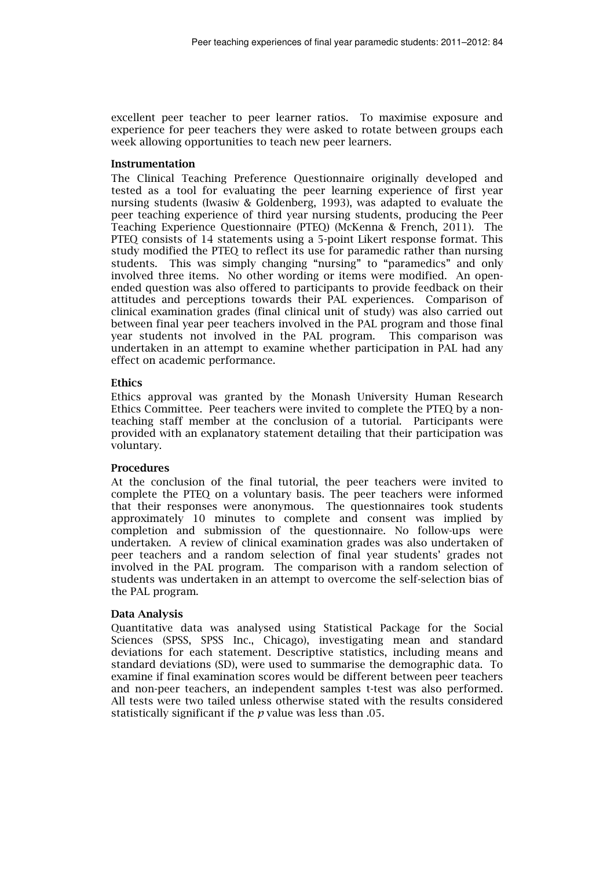excellent peer teacher to peer learner ratios. To maximise exposure and experience for peer teachers they were asked to rotate between groups each week allowing opportunities to teach new peer learners.

#### Instrumentation

The Clinical Teaching Preference Questionnaire originally developed and tested as a tool for evaluating the peer learning experience of first year nursing students (Iwasiw & Goldenberg, 1993), was adapted to evaluate the peer teaching experience of third year nursing students, producing the Peer Teaching Experience Questionnaire (PTEQ) (McKenna & French, 2011). The PTEQ consists of 14 statements using a 5-point Likert response format. This study modified the PTEQ to reflect its use for paramedic rather than nursing students. This was simply changing "nursing" to "paramedics" and only involved three items. No other wording or items were modified. An openended question was also offered to participants to provide feedback on their attitudes and perceptions towards their PAL experiences. Comparison of clinical examination grades (final clinical unit of study) was also carried out between final year peer teachers involved in the PAL program and those final year students not involved in the PAL program. This comparison was undertaken in an attempt to examine whether participation in PAL had any effect on academic performance.

#### Ethics

Ethics approval was granted by the Monash University Human Research Ethics Committee. Peer teachers were invited to complete the PTEQ by a nonteaching staff member at the conclusion of a tutorial. Participants were provided with an explanatory statement detailing that their participation was voluntary.

#### Procedures

At the conclusion of the final tutorial, the peer teachers were invited to complete the PTEQ on a voluntary basis. The peer teachers were informed that their responses were anonymous. The questionnaires took students approximately 10 minutes to complete and consent was implied by completion and submission of the questionnaire. No follow-ups were undertaken. A review of clinical examination grades was also undertaken of peer teachers and a random selection of final year students' grades not involved in the PAL program. The comparison with a random selection of students was undertaken in an attempt to overcome the self-selection bias of the PAL program.

#### Data Analysis

Quantitative data was analysed using Statistical Package for the Social Sciences (SPSS, SPSS Inc., Chicago), investigating mean and standard deviations for each statement. Descriptive statistics, including means and standard deviations (SD), were used to summarise the demographic data. To examine if final examination scores would be different between peer teachers and non-peer teachers, an independent samples t-test was also performed. All tests were two tailed unless otherwise stated with the results considered statistically significant if the  $p$  value was less than .05.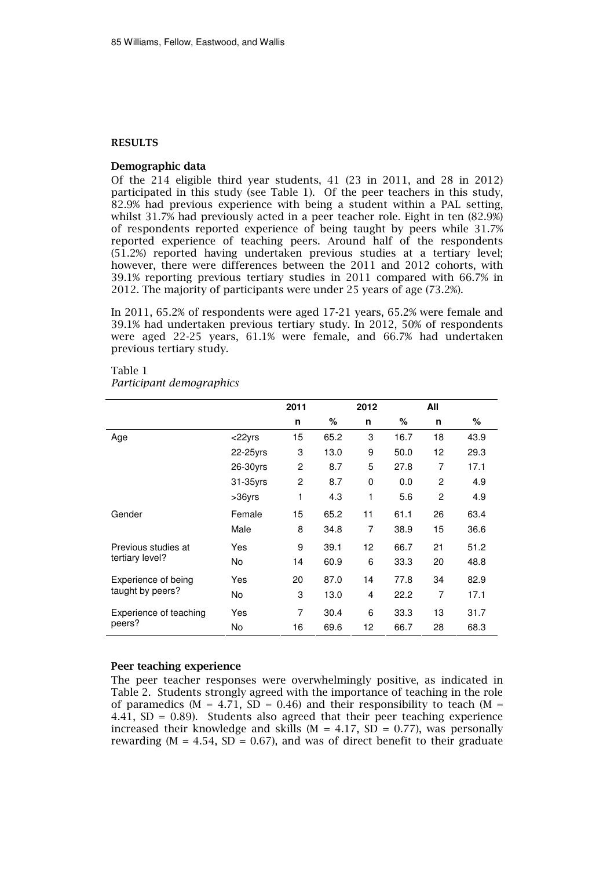#### RESULTS

#### Demographic data

Of the 214 eligible third year students, 41 (23 in 2011, and 28 in 2012) participated in this study (see Table 1). Of the peer teachers in this study, 82.9% had previous experience with being a student within a PAL setting, whilst 31.7% had previously acted in a peer teacher role. Eight in ten (82.9%) of respondents reported experience of being taught by peers while 31.7% reported experience of teaching peers. Around half of the respondents (51.2%) reported having undertaken previous studies at a tertiary level; however, there were differences between the 2011 and 2012 cohorts, with 39.1% reporting previous tertiary studies in 2011 compared with 66.7% in 2012. The majority of participants were under 25 years of age (73.2%).

In 2011, 65.2% of respondents were aged 17-21 years, 65.2% were female and 39.1% had undertaken previous tertiary study. In 2012, 50% of respondents were aged 22-25 years, 61.1% were female, and 66.7% had undertaken previous tertiary study.

|                                         |           | 2011           |      | 2012 |      | All |      |
|-----------------------------------------|-----------|----------------|------|------|------|-----|------|
|                                         |           | n              | %    | n    | %    | n   | ℅    |
| Age                                     | $<$ 22yrs | 15             | 65.2 | 3    | 16.7 | 18  | 43.9 |
|                                         | 22-25yrs  | 3              | 13.0 | 9    | 50.0 | 12  | 29.3 |
|                                         | 26-30yrs  | $\overline{2}$ | 8.7  | 5    | 27.8 | 7   | 17.1 |
|                                         | 31-35yrs  | 2              | 8.7  | 0    | 0.0  | 2   | 4.9  |
|                                         | $>36$ yrs | 1              | 4.3  | 1    | 5.6  | 2   | 4.9  |
| Gender                                  | Female    | 15             | 65.2 | 11   | 61.1 | 26  | 63.4 |
|                                         | Male      | 8              | 34.8 | 7    | 38.9 | 15  | 36.6 |
| Previous studies at<br>tertiary level?  | Yes       | 9              | 39.1 | 12   | 66.7 | 21  | 51.2 |
|                                         | No        | 14             | 60.9 | 6    | 33.3 | 20  | 48.8 |
| Experience of being<br>taught by peers? | Yes       | 20             | 87.0 | 14   | 77.8 | 34  | 82.9 |
|                                         | No        | 3              | 13.0 | 4    | 22.2 | 7   | 17.1 |
| Experience of teaching<br>peers?        | Yes       | 7              | 30.4 | 6    | 33.3 | 13  | 31.7 |
|                                         | <b>No</b> | 16             | 69.6 | 12   | 66.7 | 28  | 68.3 |

#### Table 1 Participant demographics

#### Peer teaching experience

The peer teacher responses were overwhelmingly positive, as indicated in Table 2. Students strongly agreed with the importance of teaching in the role of paramedics ( $M = 4.71$ ,  $SD = 0.46$ ) and their responsibility to teach ( $M =$ 4.41,  $SD = 0.89$ ). Students also agreed that their peer teaching experience increased their knowledge and skills ( $M = 4.17$ ,  $SD = 0.77$ ), was personally rewarding ( $M = 4.54$ ,  $SD = 0.67$ ), and was of direct benefit to their graduate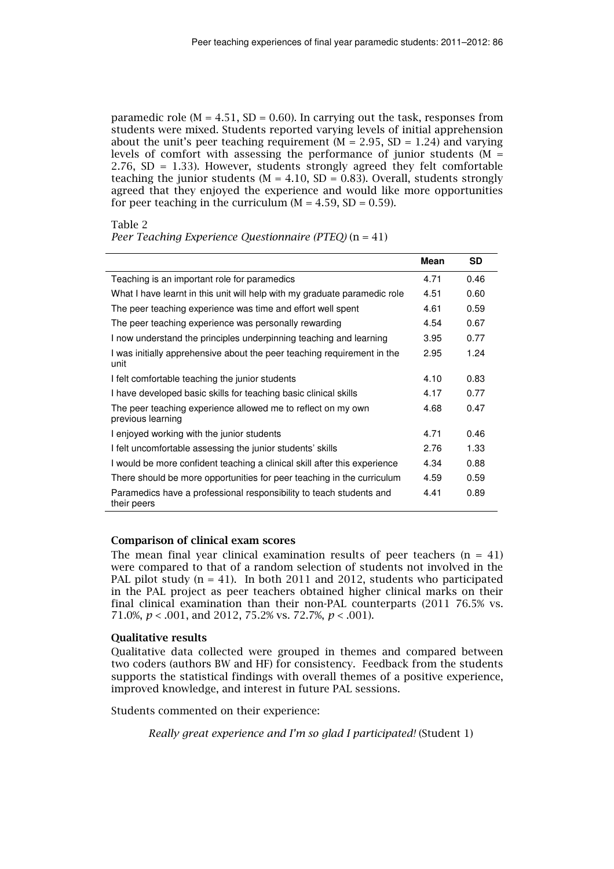paramedic role ( $M = 4.51$ , SD = 0.60). In carrying out the task, responses from students were mixed. Students reported varying levels of initial apprehension about the unit's peer teaching requirement ( $M = 2.95$ , SD = 1.24) and varying levels of comfort with assessing the performance of junior students ( $M =$ 2.76, SD = 1.33). However, students strongly agreed they felt comfortable teaching the junior students ( $M = 4.10$ , SD = 0.83). Overall, students strongly agreed that they enjoyed the experience and would like more opportunities for peer teaching in the curriculum  $(M = 4.59, SD = 0.59)$ .

Table 2

Peer Teaching Experience Ouestionnaire (PTEO)  $(n = 41)$ 

|                                                                                    | <b>Mean</b> | <b>SD</b> |
|------------------------------------------------------------------------------------|-------------|-----------|
| Teaching is an important role for paramedics                                       |             | 0.46      |
| What I have learnt in this unit will help with my graduate paramedic role          | 4.51        | 0.60      |
| The peer teaching experience was time and effort well spent                        | 4.61        | 0.59      |
| The peer teaching experience was personally rewarding                              | 4.54        | 0.67      |
| I now understand the principles underpinning teaching and learning                 | 3.95        | 0.77      |
| I was initially apprehensive about the peer teaching requirement in the<br>unit    | 2.95        | 1.24      |
| I felt comfortable teaching the junior students                                    | 4.10        | 0.83      |
| I have developed basic skills for teaching basic clinical skills                   | 4.17        | 0.77      |
| The peer teaching experience allowed me to reflect on my own<br>previous learning  | 4.68        | 0.47      |
| I enjoyed working with the junior students                                         | 4.71        | 0.46      |
| I felt uncomfortable assessing the junior students' skills                         | 2.76        | 1.33      |
| I would be more confident teaching a clinical skill after this experience          | 4.34        | 0.88      |
| There should be more opportunities for peer teaching in the curriculum             | 4.59        | 0.59      |
| Paramedics have a professional responsibility to teach students and<br>their peers | 4.41        | 0.89      |

#### Comparison of clinical exam scores

The mean final year clinical examination results of peer teachers  $(n = 41)$ were compared to that of a random selection of students not involved in the PAL pilot study  $(n = 41)$ . In both 2011 and 2012, students who participated in the PAL project as peer teachers obtained higher clinical marks on their final clinical examination than their non-PAL counterparts (2011 76.5% vs. 71.0%,  $p < .001$ , and 2012, 75.2% vs. 72.7%,  $p < .001$ ).

#### Qualitative results

Qualitative data collected were grouped in themes and compared between two coders (authors BW and HF) for consistency. Feedback from the students supports the statistical findings with overall themes of a positive experience, improved knowledge, and interest in future PAL sessions.

Students commented on their experience:

Really great experience and I'm so glad I participated! (Student 1)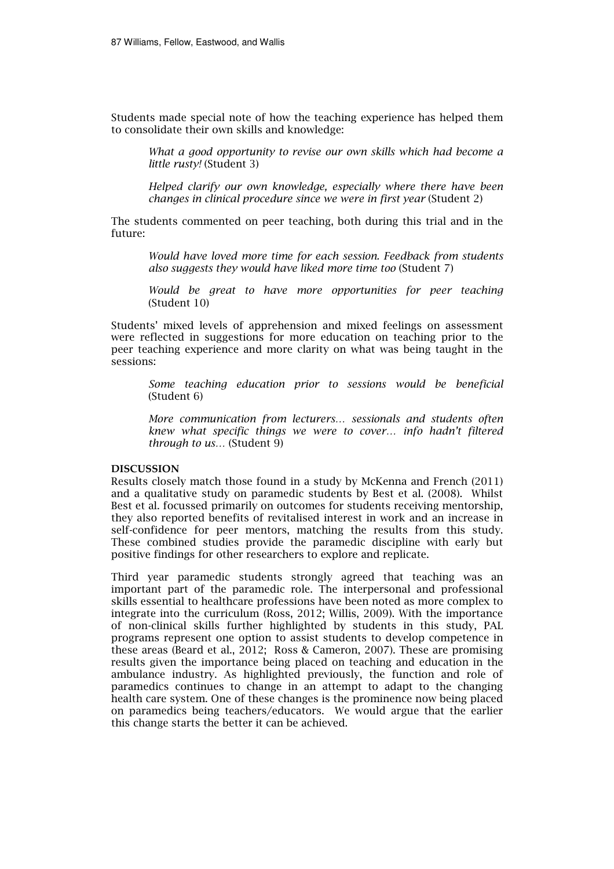Students made special note of how the teaching experience has helped them to consolidate their own skills and knowledge:

What a good opportunity to revise our own skills which had become a little rusty! (Student 3)

Helped clarify our own knowledge, especially where there have been changes in clinical procedure since we were in first year (Student 2)

The students commented on peer teaching, both during this trial and in the future:

Would have loved more time for each session. Feedback from students also suggests they would have liked more time too (Student 7)

Would be great to have more opportunities for peer teaching (Student 10)

Students' mixed levels of apprehension and mixed feelings on assessment were reflected in suggestions for more education on teaching prior to the peer teaching experience and more clarity on what was being taught in the sessions:

Some teaching education prior to sessions would be beneficial (Student 6)

More communication from lecturers… sessionals and students often knew what specific things we were to cover… info hadn't filtered through to us… (Student 9)

#### DISCUSSION

Results closely match those found in a study by McKenna and French (2011) and a qualitative study on paramedic students by Best et al. (2008). Whilst Best et al. focussed primarily on outcomes for students receiving mentorship, they also reported benefits of revitalised interest in work and an increase in self-confidence for peer mentors, matching the results from this study. These combined studies provide the paramedic discipline with early but positive findings for other researchers to explore and replicate.

Third year paramedic students strongly agreed that teaching was an important part of the paramedic role. The interpersonal and professional skills essential to healthcare professions have been noted as more complex to integrate into the curriculum (Ross, 2012; Willis, 2009). With the importance of non-clinical skills further highlighted by students in this study, PAL programs represent one option to assist students to develop competence in these areas (Beard et al., 2012; Ross & Cameron, 2007). These are promising results given the importance being placed on teaching and education in the ambulance industry. As highlighted previously, the function and role of paramedics continues to change in an attempt to adapt to the changing health care system. One of these changes is the prominence now being placed on paramedics being teachers/educators. We would argue that the earlier this change starts the better it can be achieved.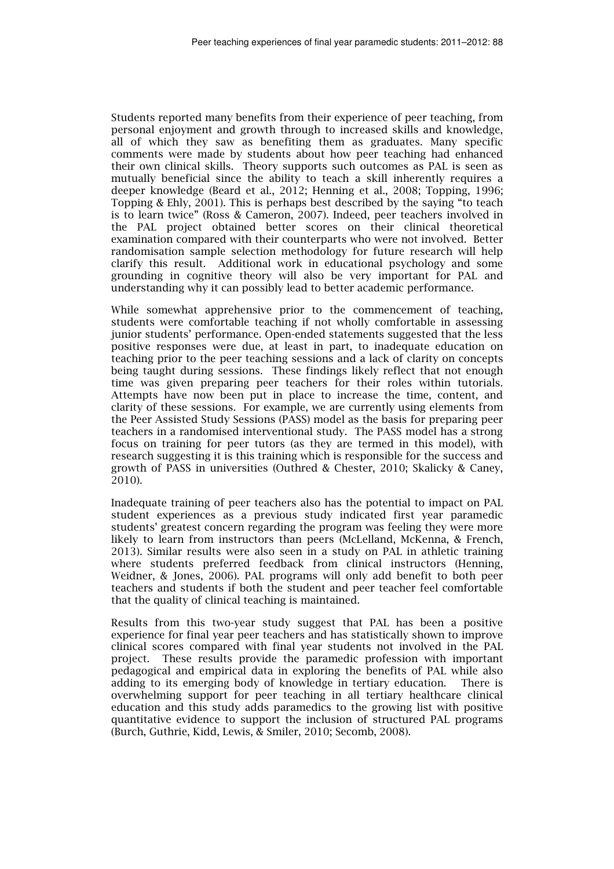Students reported many benefits from their experience of peer teaching, from personal enjoyment and growth through to increased skills and knowledge, all of which they saw as benefiting them as graduates. Many specific comments were made by students about how peer teaching had enhanced their own clinical skills. Theory supports such outcomes as PAL is seen as mutually beneficial since the ability to teach a skill inherently requires a deeper knowledge (Beard et al., 2012; Henning et al., 2008; Topping, 1996; Topping & Ehly, 2001). This is perhaps best described by the saying "to teach is to learn twice" (Ross & Cameron, 2007). Indeed, peer teachers involved in the PAL project obtained better scores on their clinical theoretical examination compared with their counterparts who were not involved. Better randomisation sample selection methodology for future research will help clarify this result. Additional work in educational psychology and some grounding in cognitive theory will also be very important for PAL and understanding why it can possibly lead to better academic performance.

While somewhat apprehensive prior to the commencement of teaching, students were comfortable teaching if not wholly comfortable in assessing junior students' performance. Open-ended statements suggested that the less positive responses were due, at least in part, to inadequate education on teaching prior to the peer teaching sessions and a lack of clarity on concepts being taught during sessions. These findings likely reflect that not enough time was given preparing peer teachers for their roles within tutorials. Attempts have now been put in place to increase the time, content, and clarity of these sessions. For example, we are currently using elements from the Peer Assisted Study Sessions (PASS) model as the basis for preparing peer teachers in a randomised interventional study. The PASS model has a strong focus on training for peer tutors (as they are termed in this model), with research suggesting it is this training which is responsible for the success and growth of PASS in universities (Outhred & Chester, 2010; Skalicky & Caney, 2010).

Inadequate training of peer teachers also has the potential to impact on PAL student experiences as a previous study indicated first year paramedic students' greatest concern regarding the program was feeling they were more likely to learn from instructors than peers (McLelland, McKenna, & French, 2013). Similar results were also seen in a study on PAL in athletic training where students preferred feedback from clinical instructors (Henning, Weidner, & Jones, 2006). PAL programs will only add benefit to both peer teachers and students if both the student and peer teacher feel comfortable that the quality of clinical teaching is maintained.

Results from this two-year study suggest that PAL has been a positive experience for final year peer teachers and has statistically shown to improve clinical scores compared with final year students not involved in the PAL project. These results provide the paramedic profession with important pedagogical and empirical data in exploring the benefits of PAL while also adding to its emerging body of knowledge in tertiary education. There is overwhelming support for peer teaching in all tertiary healthcare clinical education and this study adds paramedics to the growing list with positive quantitative evidence to support the inclusion of structured PAL programs (Burch, Guthrie, Kidd, Lewis, & Smiler, 2010; Secomb, 2008).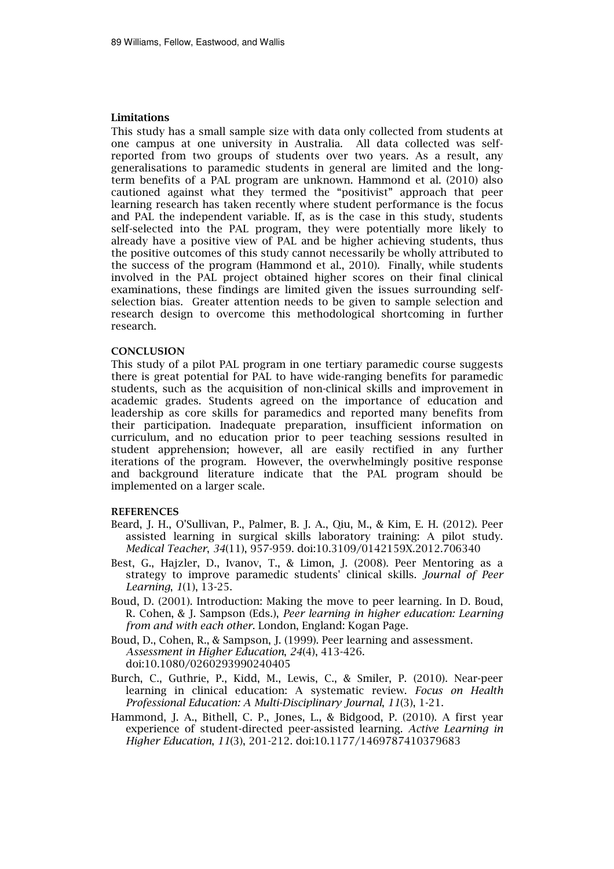#### Limitations

This study has a small sample size with data only collected from students at one campus at one university in Australia. All data collected was selfreported from two groups of students over two years. As a result, any generalisations to paramedic students in general are limited and the longterm benefits of a PAL program are unknown. Hammond et al. (2010) also cautioned against what they termed the "positivist" approach that peer learning research has taken recently where student performance is the focus and PAL the independent variable. If, as is the case in this study, students self-selected into the PAL program, they were potentially more likely to already have a positive view of PAL and be higher achieving students, thus the positive outcomes of this study cannot necessarily be wholly attributed to the success of the program (Hammond et al., 2010). Finally, while students involved in the PAL project obtained higher scores on their final clinical examinations, these findings are limited given the issues surrounding selfselection bias. Greater attention needs to be given to sample selection and research design to overcome this methodological shortcoming in further research.

#### **CONCLUSION**

This study of a pilot PAL program in one tertiary paramedic course suggests there is great potential for PAL to have wide-ranging benefits for paramedic students, such as the acquisition of non-clinical skills and improvement in academic grades. Students agreed on the importance of education and leadership as core skills for paramedics and reported many benefits from their participation. Inadequate preparation, insufficient information on curriculum, and no education prior to peer teaching sessions resulted in student apprehension; however, all are easily rectified in any further iterations of the program. However, the overwhelmingly positive response and background literature indicate that the PAL program should be implemented on a larger scale.

#### REFERENCES

- Beard, J. H., O'Sullivan, P., Palmer, B. J. A., Qiu, M., & Kim, E. H. (2012). Peer assisted learning in surgical skills laboratory training: A pilot study. Medical Teacher, 34(11), 957-959. doi:10.3109/0142159X.2012.706340
- Best, G., Hajzler, D., Ivanov, T., & Limon, J. (2008). Peer Mentoring as a strategy to improve paramedic students' clinical skills. Journal of Peer Learning, 1(1), 13-25.
- Boud, D. (2001). Introduction: Making the move to peer learning. In D. Boud, R. Cohen, & J. Sampson (Eds.), Peer learning in higher education: Learning from and with each other. London, England: Kogan Page.
- Boud, D., Cohen, R., & Sampson, J. (1999). Peer learning and assessment. Assessment in Higher Education, 24(4), 413-426. doi:10.1080/0260293990240405
- Burch, C., Guthrie, P., Kidd, M., Lewis, C., & Smiler, P. (2010). Near-peer learning in clinical education: A systematic review. Focus on Health Professional Education: A Multi-Disciplinary Journal, 11(3), 1-21.
- Hammond, J. A., Bithell, C. P., Jones, L., & Bidgood, P. (2010). A first year experience of student-directed peer-assisted learning. Active Learning in Higher Education, 11(3), 201-212. doi:10.1177/1469787410379683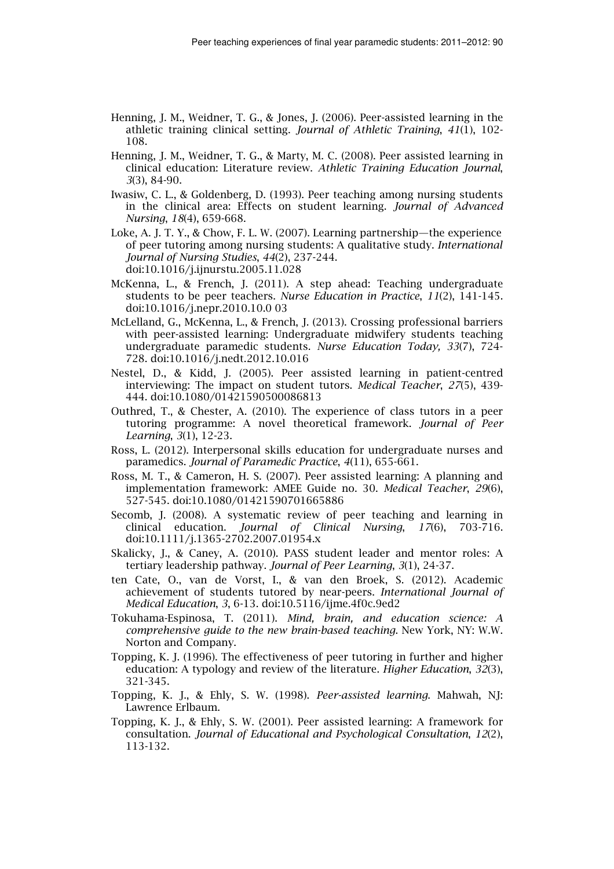- Henning, J. M., Weidner, T. G., & Jones, J. (2006). Peer-assisted learning in the athletic training clinical setting. Journal of Athletic Training, 41(1), 102- 108.
- Henning, J. M., Weidner, T. G., & Marty, M. C. (2008). Peer assisted learning in clinical education: Literature review. Athletic Training Education Journal, 3(3), 84-90.
- Iwasiw, C. L., & Goldenberg, D. (1993). Peer teaching among nursing students in the clinical area: Effects on student learning. Journal of Advanced Nursing, 18(4), 659-668.
- Loke, A. J. T. Y., & Chow, F. L. W. (2007). Learning partnership—the experience of peer tutoring among nursing students: A qualitative study. International Journal of Nursing Studies, 44(2), 237-244.

doi:10.1016/j.ijnurstu.2005.11.028

- McKenna, L., & French, J. (2011). A step ahead: Teaching undergraduate students to be peer teachers. Nurse Education in Practice, 11(2), 141-145. doi:10.1016/j.nepr.2010.10.0 03
- McLelland, G., McKenna, L., & French, J. (2013). Crossing professional barriers with peer-assisted learning: Undergraduate midwifery students teaching undergraduate paramedic students. Nurse Education Today, 33(7), 724- 728. doi:10.1016/j.nedt.2012.10.016
- Nestel, D., & Kidd, J. (2005). Peer assisted learning in patient-centred interviewing: The impact on student tutors. Medical Teacher, 27(5), 439- 444. doi:10.1080/01421590500086813
- Outhred, T., & Chester, A. (2010). The experience of class tutors in a peer tutoring programme: A novel theoretical framework. Journal of Peer Learning, 3(1), 12-23.
- Ross, L. (2012). Interpersonal skills education for undergraduate nurses and paramedics. Journal of Paramedic Practice, 4(11), 655-661.
- Ross, M. T., & Cameron, H. S. (2007). Peer assisted learning: A planning and implementation framework: AMEE Guide no. 30. Medical Teacher, 29(6), 527-545. doi:10.1080/01421590701665886
- Secomb, J. (2008). A systematic review of peer teaching and learning in clinical education. Journal of Clinical Nursing, 17(6), 703-716. doi:10.1111/j.1365-2702.2007.01954.x
- Skalicky, J., & Caney, A. (2010). PASS student leader and mentor roles: A tertiary leadership pathway. Journal of Peer Learning, 3(1), 24-37.
- ten Cate, O., van de Vorst, I., & van den Broek, S. (2012). Academic achievement of students tutored by near-peers. International Journal of Medical Education, 3, 6-13. doi:10.5116/ijme.4f0c.9ed2
- Tokuhama-Espinosa, T. (2011). Mind, brain, and education science: A comprehensive guide to the new brain-based teaching. New York, NY: W.W. Norton and Company.
- Topping, K. J. (1996). The effectiveness of peer tutoring in further and higher education: A typology and review of the literature. Higher Education, 32(3), 321-345.
- Topping, K. J., & Ehly, S. W. (1998). Peer-assisted learning. Mahwah, NJ: Lawrence Erlbaum.
- Topping, K. J., & Ehly, S. W. (2001). Peer assisted learning: A framework for consultation. Journal of Educational and Psychological Consultation, 12(2), 113-132.